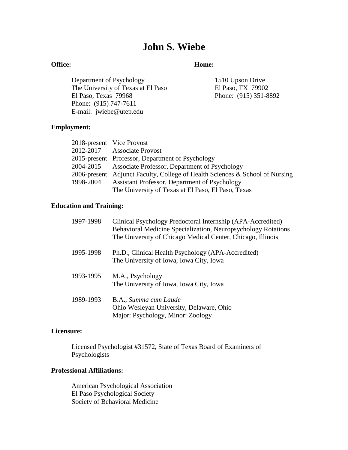# **John S. Wiebe**

## **Office: Home:**

Department of Psychology 1510 Upson Drive The University of Texas at El Paso<br>El Paso, TX 79902<br>Phone: (915) 351-8<br>Phone: (915) 351-8 Phone: (915) 747-7611 E-mail: jwiebe@utep.edu

Phone: (915) 351-8892

## **Employment:**

|           | 2018-present Vice Provost                                                    |
|-----------|------------------------------------------------------------------------------|
|           | 2012-2017 Associate Provost                                                  |
|           | 2015-present Professor, Department of Psychology                             |
|           | 2004-2015 Associate Professor, Department of Psychology                      |
|           | 2006-present Adjunct Faculty, College of Health Sciences & School of Nursing |
| 1998-2004 | Assistant Professor, Department of Psychology                                |
|           | The University of Texas at El Paso, El Paso, Texas                           |

## **Education and Training:**

| 1997-1998 | Clinical Psychology Predoctoral Internship (APA-Accredited)<br>Behavioral Medicine Specialization, Neuropsychology Rotations<br>The University of Chicago Medical Center, Chicago, Illinois |
|-----------|---------------------------------------------------------------------------------------------------------------------------------------------------------------------------------------------|
| 1995-1998 | Ph.D., Clinical Health Psychology (APA-Accredited)<br>The University of Iowa, Iowa City, Iowa                                                                                               |
| 1993-1995 | M.A., Psychology<br>The University of Iowa, Iowa City, Iowa                                                                                                                                 |
| 1989-1993 | B.A., Summa cum Laude<br>Ohio Wesleyan University, Delaware, Ohio<br>Major: Psychology, Minor: Zoology                                                                                      |

## **Licensure:**

Licensed Psychologist #31572, State of Texas Board of Examiners of Psychologists

## **Professional Affiliations:**

American Psychological Association El Paso Psychological Society Society of Behavioral Medicine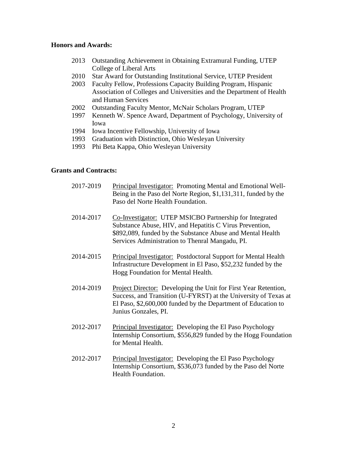## **Honors and Awards:**

- 2013 Outstanding Achievement in Obtaining Extramural Funding, UTEP College of Liberal Arts
- 2010 Star Award for Outstanding Institutional Service, UTEP President
- 2003 Faculty Fellow, Professions Capacity Building Program, Hispanic Association of Colleges and Universities and the Department of Health and Human Services
- 2002 Outstanding Faculty Mentor, McNair Scholars Program, UTEP
- 1997 Kenneth W. Spence Award, Department of Psychology, University of Iowa
- 1994 Iowa Incentive Fellowship, University of Iowa
- 1993 Graduation with Distinction, Ohio Wesleyan University
- 1993 Phi Beta Kappa, Ohio Wesleyan University

## **Grants and Contracts:**

- 2017-2019 Principal Investigator: Promoting Mental and Emotional Well-Being in the Paso del Norte Region, \$1,131,311, funded by the Paso del Norte Health Foundation.
- 2014-2017 Co-Investigator: UTEP MSICBO Partnership for Integrated Substance Abuse, HIV, and Hepatitis C Virus Prevention, \$892,089, funded by the Substance Abuse and Mental Health Services Administration to Thenral Mangadu, PI.
- 2014-2015 Principal Investigator: Postdoctoral Support for Mental Health Infrastructure Development in El Paso, \$52,232 funded by the Hogg Foundation for Mental Health.
- 2014-2019 Project Director: Developing the Unit for First Year Retention, Success, and Transition (U-FYRST) at the University of Texas at El Paso, \$2,600,000 funded by the Department of Education to Junius Gonzales, PI.
- 2012-2017 Principal Investigator: Developing the El Paso Psychology Internship Consortium, \$556,829 funded by the Hogg Foundation for Mental Health.
- 2012-2017 Principal Investigator: Developing the El Paso Psychology Internship Consortium, \$536,073 funded by the Paso del Norte Health Foundation.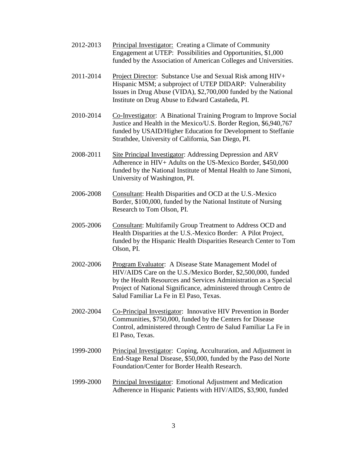- 2012-2013 Principal Investigator: Creating a Climate of Community Engagement at UTEP: Possibilities and Opportunities, \$1,000 funded by the Association of American Colleges and Universities.
- 2011-2014 Project Director: Substance Use and Sexual Risk among HIV+ Hispanic MSM; a subproject of UTEP DIDARP: Vulnerability Issues in Drug Abuse (VIDA), \$2,700,000 funded by the National Institute on Drug Abuse to Edward Castañeda, PI.
- 2010-2014 Co-Investigator: A Binational Training Program to Improve Social Justice and Health in the Mexico/U.S. Border Region, \$6,940,767 funded by USAID/Higher Education for Development to Steffanie Strathdee, University of California, San Diego, PI.
- 2008-2011 Site Principal Investigator: Addressing Depression and ARV Adherence in HIV+ Adults on the US-Mexico Border, \$450,000 funded by the National Institute of Mental Health to Jane Simoni, University of Washington, PI.
- 2006-2008 Consultant: Health Disparities and OCD at the U.S.-Mexico Border, \$100,000, funded by the National Institute of Nursing Research to Tom Olson, PI.
- 2005-2006 Consultant: Multifamily Group Treatment to Address OCD and Health Disparities at the U.S.-Mexico Border: A Pilot Project, funded by the Hispanic Health Disparities Research Center to Tom Olson, PI.
- 2002-2006 Program Evaluator: A Disease State Management Model of HIV/AIDS Care on the U.S./Mexico Border, \$2,500,000, funded by the Health Resources and Services Administration as a Special Project of National Significance, administered through Centro de Salud Familiar La Fe in El Paso, Texas.
- 2002-2004 Co-Principal Investigator: Innovative HIV Prevention in Border Communities, \$750,000, funded by the Centers for Disease Control, administered through Centro de Salud Familiar La Fe in El Paso, Texas.
- 1999-2000 Principal Investigator: Coping, Acculturation, and Adjustment in End-Stage Renal Disease, \$50,000, funded by the Paso del Norte Foundation/Center for Border Health Research.
- 1999-2000 Principal Investigator: Emotional Adjustment and Medication Adherence in Hispanic Patients with HIV/AIDS, \$3,900, funded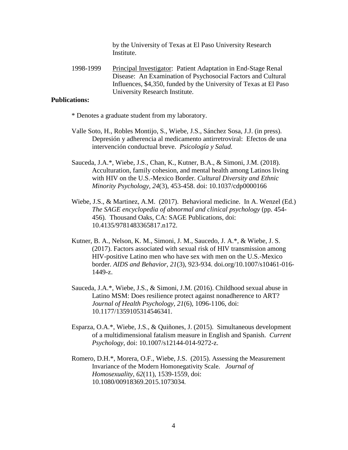by the University of Texas at El Paso University Research Institute.

1998-1999 Principal Investigator: Patient Adaptation in End-Stage Renal Disease: An Examination of Psychosocial Factors and Cultural Influences, \$4,350, funded by the University of Texas at El Paso University Research Institute.

## **Publications:**

- \* Denotes a graduate student from my laboratory.
- Valle Soto, H., Robles Montijo, S., Wiebe, J.S., Sánchez Sosa, J.J. (in press). Depresión y adherencia al medicamento antirretroviral: Efectos de una intervención conductual breve. *Psicología y Salud.*
- Sauceda, J.A.\*, Wiebe, J.S., Chan, K., Kutner, B.A., & Simoni, J.M. (2018). Acculturation, family cohesion, and mental health among Latinos living with HIV on the U.S.-Mexico Border. *Cultural Diversity and Ethnic Minority Psychology, 24*(3), 453-458. doi: 10.1037/cdp0000166
- Wiebe, J.S., & Martinez, A.M. (2017). Behavioral medicine. In A. Wenzel (Ed.) *The SAGE encyclopedia of abnormal and clinical psychology* (pp. 454- 456)*.* Thousand Oaks, CA: SAGE Publications, doi: 10.4135/9781483365817.n172.
- Kutner, B. A., Nelson, K. M., Simoni, J. M., Saucedo, J. A.\*, & Wiebe, J. S. (2017). Factors associated with sexual risk of HIV transmission among HIV-positive Latino men who have sex with men on the U.S.-Mexico border. *AIDS and Behavior*, *21*(3), 923-934. doi.org/10.1007/s10461-016- 1449-z.
- Sauceda, J.A.\*, Wiebe, J.S., & Simoni, J.M. (2016). Childhood sexual abuse in Latino MSM: Does resilience protect against nonadherence to ART? *Journal of Health Psychology, 21*(6), 1096-1106, doi: 10.1177/1359105314546341.
- Esparza, O.A.\*, Wiebe, J.S., & Quiñones, J. (2015). Simultaneous development of a multidimensional fatalism measure in English and Spanish. *Current Psychology,* doi: 10.1007/s12144-014-9272-z.
- Romero, D.H.\*, Morera, O.F., Wiebe, J.S. (2015). Assessing the Measurement Invariance of the Modern Homonegativity Scale. *Journal of Homosexuality, 62*(11), 1539-1559, doi: 10.1080/00918369.2015.1073034*.*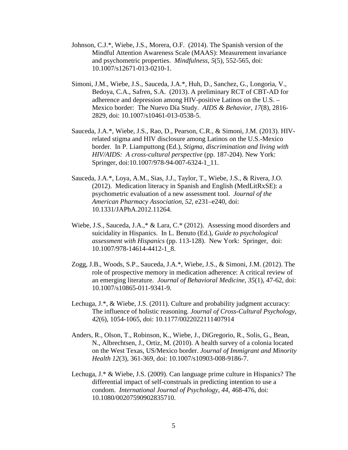- Johnson, C.J.\*, Wiebe, J.S., Morera, O.F. (2014). The Spanish version of the Mindful Attention Awareness Scale (MAAS): Measurement invariance and psychometric properties. *Mindfulness, 5*(5)*,* 552-565, doi: 10.1007/s12671-013-0210-1.
- Simoni, J.M., Wiebe, J.S., Sauceda, J.A.\*, Huh, D., Sanchez, G., Longoria, V., Bedoya, C.A., Safren, S.A. (2013). A preliminary RCT of CBT-AD for adherence and depression among HIV-positive Latinos on the U.S. – Mexico border: The Nuevo Día Study. *AIDS & Behavior, 17*(8), 2816- 2829, doi: 10.1007/s10461-013-0538-5.
- Sauceda, J.A.\*, Wiebe, J.S., Rao, D., Pearson, C.R., & Simoni, J.M. (2013). HIVrelated stigma and HIV disclosure among Latinos on the U.S.-Mexico border*.* In P. Liamputtong (Ed.), *Stigma, discrimination and living with HIV/AIDS: A cross-cultural perspective* (pp. 187-204). New York: Springer, doi:10.1007/978-94-007-6324-1\_11.
- Sauceda, J.A.\*, Loya, A.M., Sias, J.J., Taylor, T., Wiebe, J.S., & Rivera, J.O. (2012). Medication literacy in Spanish and English (MedLitRxSE): a psychometric evaluation of a new assessment tool. *Journal of the American Pharmacy Association, 52,* e231–e240, doi: 10.1331/JAPhA.2012.11264.
- Wiebe, J.S., Sauceda, J.A.,\* & Lara, C.\* (2012). Assessing mood disorders and suicidality in Hispanics. In L. Benuto (Ed.), *Guide to psychological assessment with Hispanics* (pp. 113-128). New York: Springer, doi: 10.1007/978-14614-4412-1\_8.
- Zogg, J.B., Woods, S.P., Sauceda, J.A.\*, Wiebe, J.S., & Simoni, J.M. (2012). The role of prospective memory in medication adherence: A critical review of an emerging literature. *Journal of Behavioral Medicine, 35*(1), 47-62, doi: 10.1007/s10865-011-9341-9.
- Lechuga, J.\*, & Wiebe, J.S. (2011). Culture and probability judgment accuracy: The influence of holistic reasoning. *Journal of Cross-Cultural Psychology, 42*(6), 1054-1065, doi: 10.1177/0022022111407914
- Anders, R., Olson, T., Robinson, K., Wiebe, J., DiGregorio, R., Solis, G., Bean, N., Albrechtsen, J., Ortiz, M. (2010). A health survey of a colonia located on the West Texas, US/Mexico border. *Journal of Immigrant and Minority Health 12*(3), 361-369*,* doi: 10.1007/s10903-008-9186-7.
- Lechuga, J.\* & Wiebe, J.S. (2009). Can language prime culture in Hispanics? The differential impact of self-construals in predicting intention to use a condom. *International Journal of Psychology, 44,* 468-476, doi: 10.1080/00207590902835710.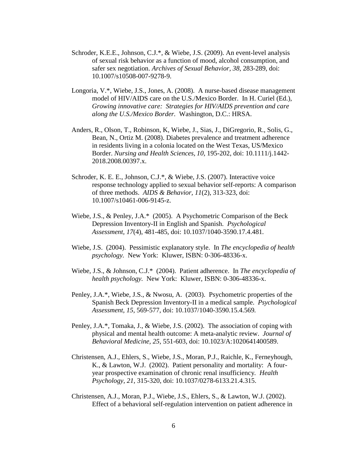- Schroder, K.E.E., Johnson, C.J.\*, & Wiebe, J.S. (2009). An event-level analysis of sexual risk behavior as a function of mood, alcohol consumption, and safer sex negotiation. *Archives of Sexual Behavior, 38,* 283-289, doi: 10.1007/s10508-007-9278-9.
- Longoria, V.\*, Wiebe, J.S., Jones, A. (2008). A nurse-based disease management model of HIV/AIDS care on the U.S./Mexico Border. In H. Curiel (Ed.), *Growing innovative care: Strategies for HIV/AIDS prevention and care along the U.S./Mexico Border.* Washington, D.C.: HRSA.
- Anders, R., Olson, T., Robinson, K, Wiebe, J., Sias, J., DiGregorio, R., Solis, G., Bean, N., Ortiz M. (2008). Diabetes prevalence and treatment adherence in residents living in a colonia located on the West Texas, US/Mexico Border. *Nursing and Health Sciences, 10,* 195-202, doi: 10.1111/j.1442- 2018.2008.00397.x.
- Schroder, K. E. E., Johnson, C.J.\*, & Wiebe, J.S. (2007). Interactive voice response technology applied to sexual behavior self-reports: A comparison of three methods. *AIDS & Behavior, 11*(2), 313-323, doi: 10.1007/s10461-006-9145-z.
- Wiebe, J.S., & Penley, J.A.\* (2005). A Psychometric Comparison of the Beck Depression Inventory-II in English and Spanish. *Psychological Assessment, 17*(4), 481-485, doi: 10.1037/1040-3590.17.4.481*.*
- Wiebe, J.S. (2004). Pessimistic explanatory style. In *The encyclopedia of health psychology.* New York: Kluwer, ISBN: 0-306-48336-x.
- Wiebe, J.S., & Johnson, C.J.\* (2004). Patient adherence. In *The encyclopedia of health psychology.* New York: Kluwer, ISBN: 0-306-48336-x.
- Penley, J.A.\*, Wiebe, J.S., & Nwosu, A. (2003). Psychometric properties of the Spanish Beck Depression Inventory-II in a medical sample. *Psychological Assessment, 15,* 569-577, doi: 10.1037/1040-3590.15.4.569*.*
- Penley, J.A.\*, Tomaka, J., & Wiebe, J.S. (2002). The association of coping with physical and mental health outcome: A meta-analytic review. *Journal of Behavioral Medicine, 25,* 551-603, doi: 10.1023/A:1020641400589.
- Christensen, A.J., Ehlers, S., Wiebe, J.S., Moran, P.J., Raichle, K., Ferneyhough, K., & Lawton, W.J. (2002). Patient personality and mortality: A fouryear prospective examination of chronic renal insufficiency*. Health Psychology, 21,* 315-320, doi: 10.1037/0278-6133.21.4.315.
- Christensen, A.J., Moran, P.J., Wiebe, J.S., Ehlers, S., & Lawton, W.J. (2002). Effect of a behavioral self-regulation intervention on patient adherence in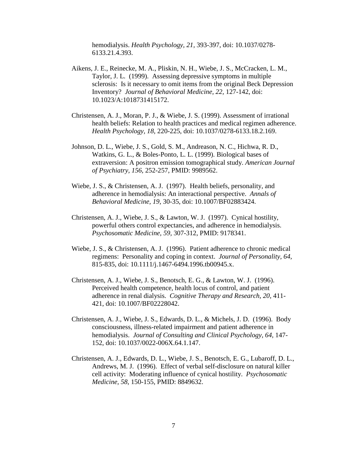hemodialysis. *Health Psychology, 21,* 393-397, doi: 10.1037/0278- 6133.21.4.393.

- Aikens, J. E., Reinecke, M. A., Pliskin, N. H., Wiebe, J. S., McCracken, L. M., Taylor, J. L. (1999). Assessing depressive symptoms in multiple sclerosis: Is it necessary to omit items from the original Beck Depression Inventory? *Journal of Behavioral Medicine, 22,* 127-142, doi: 10.1023/A:1018731415172.
- Christensen, A. J., Moran, P. J., & Wiebe, J. S. (1999). Assessment of irrational health beliefs: Relation to health practices and medical regimen adherence. *Health Psychology, 18,* 220-225, doi: 10.1037/0278-6133.18.2.169.
- Johnson, D. L., Wiebe, J. S., Gold, S. M., Andreason, N. C., Hichwa, R. D., Watkins, G. L., & Boles-Ponto, L. L. (1999). Biological bases of extraversion: A positron emission tomographical study. *American Journal of Psychiatry, 156,* 252-257, PMID: 9989562.
- Wiebe, J. S., & Christensen, A. J. (1997). Health beliefs, personality, and adherence in hemodialysis: An interactional perspective. *Annals of Behavioral Medicine, 19,* 30-35, doi: 10.1007/BF02883424.
- Christensen, A. J., Wiebe, J. S., & Lawton, W. J. (1997). Cynical hostility, powerful others control expectancies, and adherence in hemodialysis. *Psychosomatic Medicine, 59,* 307-312, PMID: 9178341.
- Wiebe, J. S., & Christensen, A. J. (1996). Patient adherence to chronic medical regimens: Personality and coping in context. *Journal of Personality, 64,* 815-835, doi: 10.1111/j.1467-6494.1996.tb00945.x.
- Christensen, A. J., Wiebe, J. S., Benotsch, E. G., & Lawton, W. J. (1996). Perceived health competence, health locus of control, and patient adherence in renal dialysis. *Cognitive Therapy and Research, 20,* 411- 421, doi: 10.1007/BF02228042.
- Christensen, A. J., Wiebe, J. S., Edwards, D. L., & Michels, J. D. (1996). Body consciousness, illness-related impairment and patient adherence in hemodialysis. *Journal of Consulting and Clinical Psychology, 64,* 147- 152, doi: 10.1037/0022-006X.64.1.147.
- Christensen, A. J., Edwards, D. L., Wiebe, J. S., Benotsch, E. G., Lubaroff, D. L., Andrews, M. J. (1996). Effect of verbal self-disclosure on natural killer cell activity: Moderating influence of cynical hostility. *Psychosomatic Medicine, 58,* 150-155, PMID: 8849632.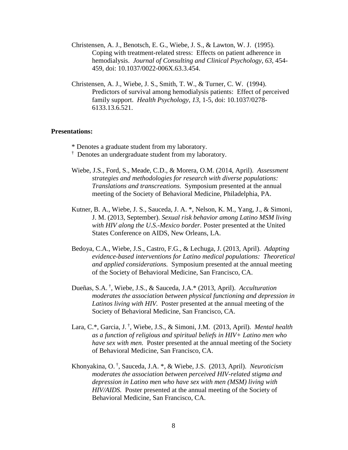- Christensen, A. J., Benotsch, E. G., Wiebe, J. S., & Lawton, W. J. (1995). Coping with treatment-related stress: Effects on patient adherence in hemodialysis. *Journal of Consulting and Clinical Psychology, 63,* 454- 459, doi: 10.1037/0022-006X.63.3.454.
- Christensen, A. J., Wiebe, J. S., Smith, T. W., & Turner, C. W. (1994). Predictors of survival among hemodialysis patients: Effect of perceived family support. *Health Psychology, 13,* 1-5, doi: 10.1037/0278- 6133.13.6.521.

## **Presentations:**

- \* Denotes a graduate student from my laboratory.
- † Denotes an undergraduate student from my laboratory.
- Wiebe, J.S., Ford, S., Meade, C.D., & Morera, O.M. (2014, April). *Assessment strategies and methodologies for research with diverse populations: Translations and transcreations.* Symposium presented at the annual meeting of the Society of Behavioral Medicine, Philadelphia, PA.
- Kutner, B. A., Wiebe, J. S., Sauceda, J. A. \*, Nelson, K. M., Yang, J., & Simoni, J. M. (2013, September). *Sexual risk behavior among Latino MSM living with HIV along the U.S.-Mexico border.* Poster presented at the United States Conference on AIDS, New Orleans, LA.
- Bedoya, C.A., Wiebe, J.S., Castro, F.G., & Lechuga, J. (2013, April). *Adapting evidence-based interventions for Latino medical populations: Theoretical and applied considerations.* Symposium presented at the annual meeting of the Society of Behavioral Medicine, San Francisco, CA.
- Dueñas, S.A. † , Wiebe, J.S., & Sauceda, J.A.\* (2013, April). *Acculturation moderates the association between physical functioning and depression in Latinos living with HIV.* Poster presented at the annual meeting of the Society of Behavioral Medicine, San Francisco, CA.
- Lara, C.\*, Garcia, J. † , Wiebe, J.S., & Simoni, J.M. (2013, April). *Mental health as a function of religious and spiritual beliefs in HIV+ Latino men who have sex with men.* Poster presented at the annual meeting of the Society of Behavioral Medicine, San Francisco, CA.
- Khonyakina, O. † , Sauceda, J.A. \*, & Wiebe, J.S. (2013, April). *Neuroticism moderates the association between perceived HIV-related stigma and depression in Latino men who have sex with men (MSM) living with HIV/AIDS.* Poster presented at the annual meeting of the Society of Behavioral Medicine, San Francisco, CA.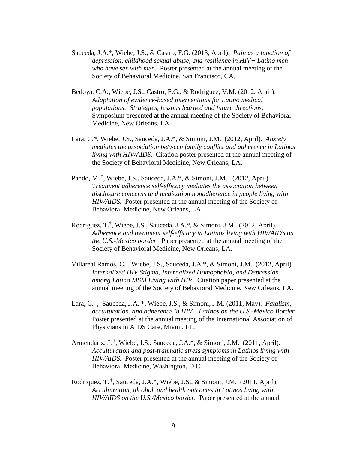- Sauceda, J.A.\*, Wiebe, J.S., & Castro, F.G. (2013, April). *Pain as a function of depression, childhood sexual abuse, and resilience in HIV+ Latino men who have sex with men.* Poster presented at the annual meeting of the Society of Behavioral Medicine, San Francisco, CA.
- Bedoya, C.A., Wiebe, J.S., Castro, F.G., & Rodriguez, V.M. (2012, April). *Adaptation of evidence-based interventions for Latino medical populations: Strategies, lessons learned and future directions.*  Symposium presented at the annual meeting of the Society of Behavioral Medicine, New Orleans, LA.
- Lara, C.\*, Wiebe, J.S., Sauceda, J.A.\*, & Simoni, J.M. (2012, April). *Anxiety mediates the association between family conflict and adherence in Latinos living with HIV/AIDS.* Citation poster presented at the annual meeting of the Society of Behavioral Medicine, New Orleans, LA.
- Pando, M.<sup>†</sup>, Wiebe, J.S., Sauceda, J.A.\*, & Simoni, J.M. (2012, April). *Treatment adherence self-efficacy mediates the association between disclosure concerns and medication nonadherence in people living with HIV/AIDS.* Poster presented at the annual meeting of the Society of Behavioral Medicine, New Orleans, LA.
- Rodriguez, T. † , Wiebe, J.S., Sauceda, J.A.\*, & Simoni, J.M. (2012, April). *Adherence and treatment self-efficacy in Latinos living with HIV/AIDS on the U.S.-Mexico border.* Paper presented at the annual meeting of the Society of Behavioral Medicine, New Orleans, LA.
- Villareal Ramos, C.† , Wiebe, J.S., Sauceda, J.A.\*, & Simoni, J.M. (2012, April). *Internalized HIV Stigma, Internalized Homophobia, and Depression among Latino MSM Living with HIV.* Citation paper presented at the annual meeting of the Society of Behavioral Medicine, New Orleans, LA.
- Lara, C. † , Sauceda, J.A. \*, Wiebe, J.S., & Simoni, J.M. (2011, May). *Fatalism, acculturation, and adherence in HIV+ Latinos on the U.S.-Mexico Border.* Poster presented at the annual meeting of the International Association of Physicians in AIDS Care, Miami, FL.
- Armendariz, J.<sup>†</sup>, Wiebe, J.S., Sauceda, J.A.\*, & Simoni, J.M. (2011, April). *Acculturation and post-traumatic stress symptoms in Latinos living with HIV/AIDS.* Poster presented at the annual meeting of the Society of Behavioral Medicine, Washington, D.C.
- Rodriquez, T.<sup>†</sup>, Sauceda, J.A.\*, Wiebe, J.S., & Simoni, J.M. (2011, April). *Acculturation, alcohol, and health outcomes in Latinos living with HIV/AIDS on the U.S./Mexico border.* Paper presented at the annual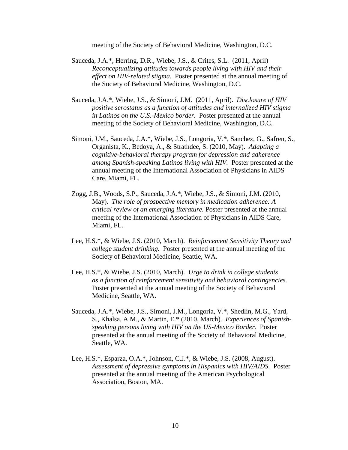meeting of the Society of Behavioral Medicine, Washington, D.C.

- Sauceda, J.A.\*, Herring, D.R., Wiebe, J.S., & Crites, S.L. (2011, April) *Reconceptualizing attitudes towards people living with HIV and their effect on HIV-related stigma.* Poster presented at the annual meeting of the Society of Behavioral Medicine, Washington, D.C.
- Sauceda, J.A.\*, Wiebe, J.S., & Simoni, J.M. (2011, April). *Disclosure of HIV positive serostatus as a function of attitudes and internalized HIV stigma in Latinos on the U.S.-Mexico border.* Poster presented at the annual meeting of the Society of Behavioral Medicine, Washington, D.C.
- Simoni, J.M., Sauceda, J.A.\*, Wiebe, J.S., Longoria, V.\*, Sanchez, G., Safren, S., Organista, K., Bedoya, A., & Strathdee, S. (2010, May). *Adapting a cognitive-behavioral therapy program for depression and adherence among Spanish-speaking Latinos living with HIV.* Poster presented at the annual meeting of the International Association of Physicians in AIDS Care, Miami, FL.
- Zogg, J.B., Woods, S.P., Sauceda, J.A.\*, Wiebe, J.S., & Simoni, J.M. (2010, May). *The role of prospective memory in medication adherence: A critical review of an emerging literature.* Poster presented at the annual meeting of the International Association of Physicians in AIDS Care, Miami, FL.
- Lee, H.S.\*, & Wiebe, J.S. (2010, March). *Reinforcement Sensitivity Theory and college student drinking.* Poster presented at the annual meeting of the Society of Behavioral Medicine, Seattle, WA.
- Lee, H.S.\*, & Wiebe, J.S. (2010, March). *Urge to drink in college students as a function of reinforcement sensitivity and behavioral contingencies.*  Poster presented at the annual meeting of the Society of Behavioral Medicine, Seattle, WA.
- Sauceda, J.A.\*, Wiebe, J.S., Simoni, J.M., Longoria, V.\*, Shedlin, M.G., Yard, S., Khalsa, A.M., & Martin, E.\* (2010, March). *Experiences of Spanishspeaking persons living with HIV on the US-Mexico Border.* Poster presented at the annual meeting of the Society of Behavioral Medicine, Seattle, WA.
- Lee, H.S.\*, Esparza, O.A.\*, Johnson, C.J.\*, & Wiebe, J.S. (2008, August). *Assessment of depressive symptoms in Hispanics with HIV/AIDS.* Poster presented at the annual meeting of the American Psychological Association, Boston, MA.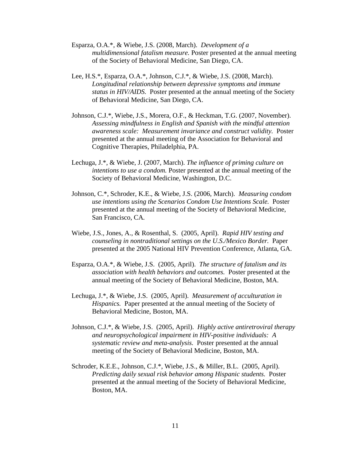- Esparza, O.A.\*, & Wiebe, J.S. (2008, March). *Development of a multidimensional fatalism measure.* Poster presented at the annual meeting of the Society of Behavioral Medicine, San Diego, CA.
- Lee, H.S.\*, Esparza, O.A.\*, Johnson, C.J.\*, & Wiebe, J.S. (2008, March). *Longitudinal relationship between depressive symptoms and immune status in HIV/AIDS.* Poster presented at the annual meeting of the Society of Behavioral Medicine, San Diego, CA.
- Johnson, C.J.\*, Wiebe, J.S., Morera, O.F., & Heckman, T.G. (2007, November). *Assessing mindfulness in English and Spanish with the mindful attention awareness scale: Measurement invariance and construct validity.* Poster presented at the annual meeting of the Association for Behavioral and Cognitive Therapies, Philadelphia, PA.
- Lechuga, J.\*, & Wiebe, J. (2007, March). *The influence of priming culture on intentions to use a condom.* Poster presented at the annual meeting of the Society of Behavioral Medicine, Washington, D.C.
- Johnson, C.\*, Schroder, K.E., & Wiebe, J.S. (2006, March). *Measuring condom use intentions using the Scenarios Condom Use Intentions Scale.* Poster presented at the annual meeting of the Society of Behavioral Medicine, San Francisco, CA*.*
- Wiebe, J.S., Jones, A., & Rosenthal, S. (2005, April). *Rapid HIV testing and counseling in nontraditional settings on the U.S./Mexico Border.* Paper presented at the 2005 National HIV Prevention Conference, Atlanta, GA.
- Esparza, O.A.\*, & Wiebe, J.S. (2005, April). *The structure of fatalism and its association with health behaviors and outcomes.* Poster presented at the annual meeting of the Society of Behavioral Medicine, Boston, MA.
- Lechuga, J.\*, & Wiebe, J.S. (2005, April). *Measurement of acculturation in Hispanics.* Paper presented at the annual meeting of the Society of Behavioral Medicine, Boston, MA.
- Johnson, C.J.\*, & Wiebe, J.S. (2005, April). *Highly active antiretroviral therapy and neuropsychological impairment in HIV-positive individuals: A systematic review and meta-analysis.* Poster presented at the annual meeting of the Society of Behavioral Medicine, Boston, MA.
- Schroder, K.E.E., Johnson, C.J.\*, Wiebe, J.S., & Miller, B.L. (2005, April). *Predicting daily sexual risk behavior among Hispanic students.* Poster presented at the annual meeting of the Society of Behavioral Medicine, Boston, MA.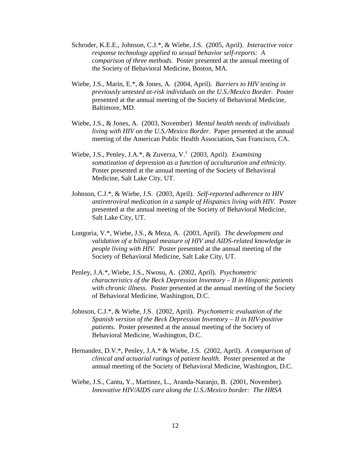- Schroder, K.E.E., Johnson, C.J.\*, & Wiebe, J.S. (2005, April). *Interactive voice response technology applied to sexual behavior self-reports: A comparison of three methods.* Poster presented at the annual meeting of the Society of Behavioral Medicine, Boston, MA.
- Wiebe, J.S., Marin, E.\*, & Jones, A. (2004, April). *Barriers to HIV testing in previously untested at-risk individuals on the U.S./Mexico Border.* Poster presented at the annual meeting of the Society of Behavioral Medicine, Baltimore, MD.
- Wiebe, J.S., & Jones, A. (2003, November) *Mental health needs of individuals living with HIV on the U.S./Mexico Border.* Paper presented at the annual meeting of the American Public Health Association, San Francisco, CA.
- Wiebe, J.S., Penley, J.A.\*, & Zuverza, V.† (2003, April). *Examining somatization of depression as a function of acculturation and ethnicity.* Poster presented at the annual meeting of the Society of Behavioral Medicine, Salt Lake City, UT.
- Johnson, C.J.\*, & Wiebe, J.S. (2003, April). *Self-reported adherence to HIV antiretroviral medication in a sample of Hispanics living with HIV.* Poster presented at the annual meeting of the Society of Behavioral Medicine, Salt Lake City, UT.
- Longoria, V.\*, Wiebe, J.S., & Meza, A. (2003, April). *The development and validation of a bilingual measure of HIV and AIDS-related knowledge in people living with HIV.* Poster presented at the annual meeting of the Society of Behavioral Medicine, Salt Lake City, UT.
- Penley, J.A.\*, Wiebe, J.S., Nwosu, A. (2002, April). *Psychometric characteristics of the Beck Depression Inventory – II in Hispanic patients with chronic illness.* Poster presented at the annual meeting of the Society of Behavioral Medicine, Washington, D.C.
- Johnson, C.J.\*, & Wiebe, J.S. (2002, April). *Psychometric evaluation of the Spanish version of the Beck Depression Inventory – II in HIV-positive patients.* Poster presented at the annual meeting of the Society of Behavioral Medicine, Washington, D.C.
- Hernandez, D.V.\*, Penley, J.A.\* & Wiebe, J.S. (2002, April). *A comparison of clinical and actuarial ratings of patient health.* Poster presented at the annual meeting of the Society of Behavioral Medicine, Washington, D.C.
- Wiebe, J.S., Cantu, Y., Martinez, L., Aranda-Naranjo, B. (2001, November). *Innovative HIV/AIDS care along the U.S./Mexico border: The HRSA*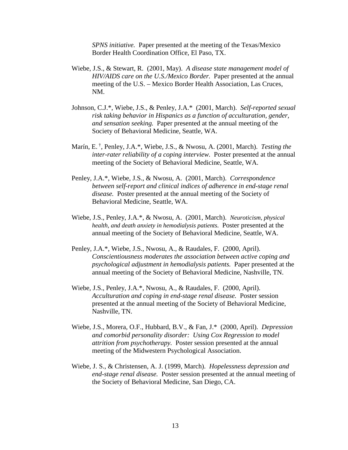*SPNS initiative.* Paper presented at the meeting of the Texas/Mexico Border Health Coordination Office, El Paso, TX.

- Wiebe, J.S., & Stewart, R. (2001, May). *A disease state management model of HIV/AIDS care on the U.S./Mexico Border.* Paper presented at the annual meeting of the U.S. – Mexico Border Health Association, Las Cruces, NM.
- Johnson, C.J.\*, Wiebe, J.S., & Penley, J.A.\* (2001, March). *Self-reported sexual risk taking behavior in Hispanics as a function of acculturation, gender, and sensation seeking.* Paper presented at the annual meeting of the Society of Behavioral Medicine, Seattle, WA.
- Marín, E. † , Penley, J.A.\*, Wiebe, J.S., & Nwosu, A. (2001, March). *Testing the inter-rater reliability of a coping interview.* Poster presented at the annual meeting of the Society of Behavioral Medicine, Seattle, WA.
- Penley, J.A.\*, Wiebe, J.S., & Nwosu, A. (2001, March). *Correspondence between self-report and clinical indices of adherence in end-stage renal disease.* Poster presented at the annual meeting of the Society of Behavioral Medicine, Seattle, WA.
- Wiebe, J.S., Penley, J.A.\*, & Nwosu, A. (2001, March). *Neuroticism, physical health, and death anxiety in hemodialysis patients.* Poster presented at the annual meeting of the Society of Behavioral Medicine, Seattle, WA.
- Penley, J.A.\*, Wiebe, J.S., Nwosu, A., & Raudales, F. (2000, April). *Conscientiousness moderates the association between active coping and psychological adjustment in hemodialysis patients.* Paper presented at the annual meeting of the Society of Behavioral Medicine, Nashville, TN.
- Wiebe, J.S., Penley, J.A.\*, Nwosu, A., & Raudales, F. (2000, April). *Acculturation and coping in end-stage renal disease.* Poster session presented at the annual meeting of the Society of Behavioral Medicine, Nashville, TN.
- Wiebe, J.S., Morera, O.F., Hubbard, B.V., & Fan, J.\* (2000, April). *Depression and comorbid personality disorder: Using Cox Regression to model attrition from psychotherapy.* Poster session presented at the annual meeting of the Midwestern Psychological Association.
- Wiebe, J. S., & Christensen, A. J. (1999, March). *Hopelessness depression and end-stage renal disease.* Poster session presented at the annual meeting of the Society of Behavioral Medicine, San Diego, CA.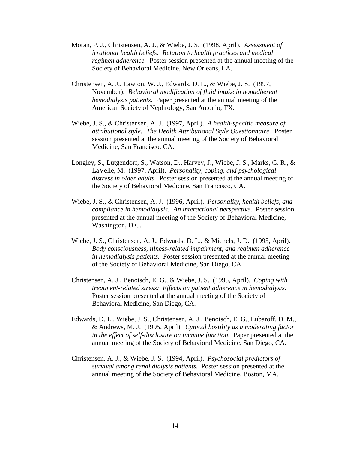- Moran, P. J., Christensen, A. J., & Wiebe, J. S. (1998, April). *Assessment of irrational health beliefs: Relation to health practices and medical regimen adherence.* Poster session presented at the annual meeting of the Society of Behavioral Medicine, New Orleans, LA.
- Christensen, A. J., Lawton, W. J., Edwards, D. L., & Wiebe, J. S. (1997, November). *Behavioral modification of fluid intake in nonadherent hemodialysis patients.* Paper presented at the annual meeting of the American Society of Nephrology, San Antonio, TX.
- Wiebe, J. S., & Christensen, A. J. (1997, April). *A health-specific measure of attributional style: The Health Attributional Style Questionnaire.* Poster session presented at the annual meeting of the Society of Behavioral Medicine, San Francisco, CA.
- Longley, S., Lutgendorf, S., Watson, D., Harvey, J., Wiebe, J. S., Marks, G. R., & LaVelle, M. (1997, April). *Personality, coping, and psychological distress in older adults.* Poster session presented at the annual meeting of the Society of Behavioral Medicine, San Francisco, CA.
- Wiebe, J. S., & Christensen, A. J. (1996, April). *Personality, health beliefs, and compliance in hemodialysis: An interactional perspective.* Poster session presented at the annual meeting of the Society of Behavioral Medicine, Washington, D.C.
- Wiebe, J. S., Christensen, A. J., Edwards, D. L., & Michels, J. D. (1995, April). *Body consciousness, illness-related impairment, and regimen adherence in hemodialysis patients.* Poster session presented at the annual meeting of the Society of Behavioral Medicine, San Diego, CA.
- Christensen, A. J., Benotsch, E. G., & Wiebe, J. S. (1995, April). *Coping with treatment-related stress: Effects on patient adherence in hemodialysis.* Poster session presented at the annual meeting of the Society of Behavioral Medicine, San Diego, CA.
- Edwards, D. L., Wiebe, J. S., Christensen, A. J., Benotsch, E. G., Lubaroff, D. M., & Andrews, M. J. (1995, April). *Cynical hostility as a moderating factor in the effect of self-disclosure on immune function.* Paper presented at the annual meeting of the Society of Behavioral Medicine, San Diego, CA.
- Christensen, A. J., & Wiebe, J. S. (1994, April). *Psychosocial predictors of survival among renal dialysis patients.* Poster session presented at the annual meeting of the Society of Behavioral Medicine, Boston, MA.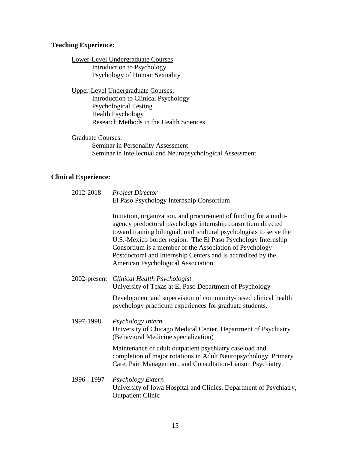## **Teaching Experience:**

Lower-Level Undergraduate Courses Introduction to Psychology Psychology of Human Sexuality

Upper-Level Undergraduate Courses: Introduction to Clinical Psychology Psychological Testing Health Psychology Research Methods in the Health Sciences

Graduate Courses: Seminar in Personality Assessment Seminar in Intellectual and Neuropsychological Assessment

## **Clinical Experience:**

| 2012-2018    | <b>Project Director</b>                                                                                                                                                                                                                                                                                                                                                                                                                    |
|--------------|--------------------------------------------------------------------------------------------------------------------------------------------------------------------------------------------------------------------------------------------------------------------------------------------------------------------------------------------------------------------------------------------------------------------------------------------|
|              | El Paso Psychology Internship Consortium                                                                                                                                                                                                                                                                                                                                                                                                   |
|              | Initiation, organization, and procurement of funding for a multi-<br>agency predoctoral psychology internship consortium directed<br>toward training bilingual, multicultural psychologists to serve the<br>U.S.-Mexico border region. The El Paso Psychology Internship<br>Consortium is a member of the Association of Psychology<br>Postdoctoral and Internship Centers and is accredited by the<br>American Psychological Association. |
| 2002-present | Clinical Health Psychologist<br>University of Texas at El Paso Department of Psychology                                                                                                                                                                                                                                                                                                                                                    |
|              | Development and supervision of community-based clinical health<br>psychology practicum experiences for graduate students.                                                                                                                                                                                                                                                                                                                  |
| 1997-1998    | Psychology Intern<br>University of Chicago Medical Center, Department of Psychiatry<br>(Behavioral Medicine specialization)                                                                                                                                                                                                                                                                                                                |
|              | Maintenance of adult outpatient psychiatry caseload and<br>completion of major rotations in Adult Neuropsychology, Primary<br>Care, Pain Management, and Consultation-Liaison Psychiatry.                                                                                                                                                                                                                                                  |
| 1996 - 1997  | Psychology Extern<br>University of Iowa Hospital and Clinics, Department of Psychiatry,<br><b>Outpatient Clinic</b>                                                                                                                                                                                                                                                                                                                        |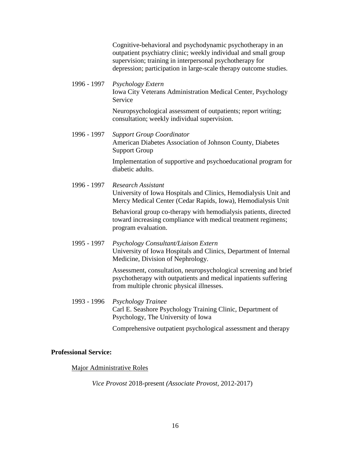Cognitive-behavioral and psychodynamic psychotherapy in an outpatient psychiatry clinic; weekly individual and small group supervision; training in interpersonal psychotherapy for depression; participation in large-scale therapy outcome studies.

1996 - 1997 *Psychology Extern* Iowa City Veterans Administration Medical Center, Psychology Service

> Neuropsychological assessment of outpatients; report writing; consultation; weekly individual supervision.

1996 - 1997 *Support Group Coordinator* American Diabetes Association of Johnson County, Diabetes Support Group

> Implementation of supportive and psychoeducational program for diabetic adults.

1996 - 1997 *Research Assistant* University of Iowa Hospitals and Clinics, Hemodialysis Unit and Mercy Medical Center (Cedar Rapids, Iowa), Hemodialysis Unit

> Behavioral group co-therapy with hemodialysis patients, directed toward increasing compliance with medical treatment regimens; program evaluation.

1995 - 1997 *Psychology Consultant/Liaison Extern* University of Iowa Hospitals and Clinics, Department of Internal Medicine, Division of Nephrology.

> Assessment, consultation, neuropsychological screening and brief psychotherapy with outpatients and medical inpatients suffering from multiple chronic physical illnesses.

1993 - 1996 *Psychology Trainee* Carl E. Seashore Psychology Training Clinic, Department of Psychology, The University of Iowa

Comprehensive outpatient psychological assessment and therapy

## **Professional Service:**

Major Administrative Roles

*Vice Provost* 2018-present *(Associate Provost*, 2012-2017)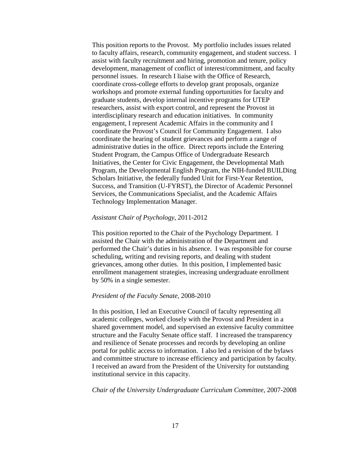This position reports to the Provost. My portfolio includes issues related to faculty affairs, research, community engagement, and student success. I assist with faculty recruitment and hiring, promotion and tenure, policy development, management of conflict of interest/commitment, and faculty personnel issues. In research I liaise with the Office of Research, coordinate cross-college efforts to develop grant proposals, organize workshops and promote external funding opportunities for faculty and graduate students, develop internal incentive programs for UTEP researchers, assist with export control, and represent the Provost in interdisciplinary research and education initiatives. In community engagement, I represent Academic Affairs in the community and I coordinate the Provost's Council for Community Engagement. I also coordinate the hearing of student grievances and perform a range of administrative duties in the office. Direct reports include the Entering Student Program, the Campus Office of Undergraduate Research Initiatives, the Center for Civic Engagement, the Developmental Math Program, the Developmental English Program, the NIH-funded BUILDing Scholars Initiative, the federally funded Unit for First-Year Retention, Success, and Transition (U-FYRST), the Director of Academic Personnel Services, the Communications Specialist, and the Academic Affairs Technology Implementation Manager.

## *Assistant Chair of Psychology*, 2011-2012

This position reported to the Chair of the Psychology Department. I assisted the Chair with the administration of the Department and performed the Chair's duties in his absence. I was responsible for course scheduling, writing and revising reports, and dealing with student grievances, among other duties. In this position, I implemented basic enrollment management strategies, increasing undergraduate enrollment by 50% in a single semester.

#### *President of the Faculty Senate,* 2008-2010

In this position, I led an Executive Council of faculty representing all academic colleges, worked closely with the Provost and President in a shared government model, and supervised an extensive faculty committee structure and the Faculty Senate office staff. I increased the transparency and resilience of Senate processes and records by developing an online portal for public access to information. I also led a revision of the bylaws and committee structure to increase efficiency and participation by faculty. I received an award from the President of the University for outstanding institutional service in this capacity.

*Chair of the University Undergraduate Curriculum Committee,* 2007-2008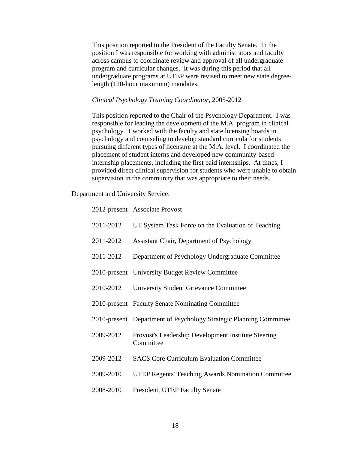This position reported to the President of the Faculty Senate. In the position I was responsible for working with administrators and faculty across campus to coordinate review and approval of all undergraduate program and curricular changes. It was during this period that all undergraduate programs at UTEP were revised to meet new state degreelength (120-hour maximum) mandates.

## *Clinical Psychology Training Coordinator,* 2005-2012

This position reported to the Chair of the Psychology Department. I was responsible for leading the development of the M.A. program in clinical psychology. I worked with the faculty and state licensing boards in psychology and counseling to develop standard curricula for students pursuing different types of licensure at the M.A. level. I coordinated the placement of student interns and developed new community-based internship placements, including the first paid internships. At times, I provided direct clinical supervision for students who were unable to obtain supervision in the community that was appropriate to their needs.

## Department and University Service:

|           | 2012-present Associate Provost                                     |
|-----------|--------------------------------------------------------------------|
| 2011-2012 | UT System Task Force on the Evaluation of Teaching                 |
| 2011-2012 | Assistant Chair, Department of Psychology                          |
| 2011-2012 | Department of Psychology Undergraduate Committee                   |
|           | 2010-present University Budget Review Committee                    |
| 2010-2012 | <b>University Student Grievance Committee</b>                      |
|           | 2010-present Faculty Senate Nominating Committee                   |
|           | 2010-present Department of Psychology Strategic Planning Committee |
| 2009-2012 | Provost's Leadership Development Institute Steering<br>Committee   |
| 2009-2012 | <b>SACS Core Curriculum Evaluation Committee</b>                   |
| 2009-2010 | <b>UTEP Regents' Teaching Awards Nomination Committee</b>          |
| 2008-2010 | President, UTEP Faculty Senate                                     |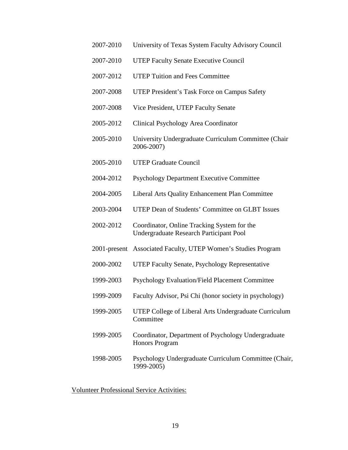- 2007-2010 University of Texas System Faculty Advisory Council
- 2007-2010 UTEP Faculty Senate Executive Council
- 2007-2012 UTEP Tuition and Fees Committee
- 2007-2008 UTEP President's Task Force on Campus Safety
- 2007-2008 Vice President, UTEP Faculty Senate
- 2005-2012 Clinical Psychology Area Coordinator
- 2005-2010 University Undergraduate Curriculum Committee (Chair 2006-2007)
- 2005-2010 UTEP Graduate Council
- 2004-2012 Psychology Department Executive Committee
- 2004-2005 Liberal Arts Quality Enhancement Plan Committee
- 2003-2004 UTEP Dean of Students' Committee on GLBT Issues
- 2002-2012 Coordinator, Online Tracking System for the Undergraduate Research Participant Pool
- 2001-present Associated Faculty, UTEP Women's Studies Program
- 2000-2002 UTEP Faculty Senate, Psychology Representative
- 1999-2003 Psychology Evaluation/Field Placement Committee
- 1999-2009 Faculty Advisor, Psi Chi (honor society in psychology)
- 1999-2005 UTEP College of Liberal Arts Undergraduate Curriculum **Committee**
- 1999-2005 Coordinator, Department of Psychology Undergraduate Honors Program
- 1998-2005 Psychology Undergraduate Curriculum Committee (Chair, 1999-2005)

Volunteer Professional Service Activities: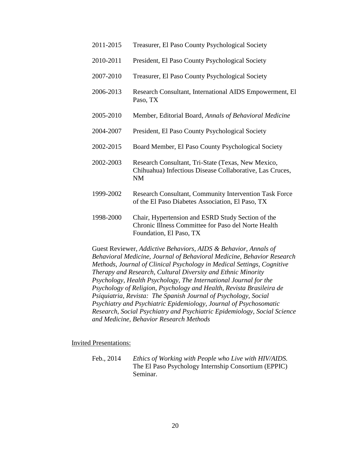| 2011-2015 | Treasurer, El Paso County Psychological Society                                                                      |
|-----------|----------------------------------------------------------------------------------------------------------------------|
| 2010-2011 | President, El Paso County Psychological Society                                                                      |
| 2007-2010 | Treasurer, El Paso County Psychological Society                                                                      |
| 2006-2013 | Research Consultant, International AIDS Empowerment, El<br>Paso, TX                                                  |
| 2005-2010 | Member, Editorial Board, Annals of Behavioral Medicine                                                               |
| 2004-2007 | President, El Paso County Psychological Society                                                                      |
| 2002-2015 | Board Member, El Paso County Psychological Society                                                                   |
| 2002-2003 | Research Consultant, Tri-State (Texas, New Mexico,<br>Chihuahua) Infectious Disease Collaborative, Las Cruces,<br>NM |
| 1999-2002 | Research Consultant, Community Intervention Task Force<br>of the El Paso Diabetes Association, El Paso, TX           |
| 1998-2000 | Chair, Hypertension and ESRD Study Section of the<br>Chronic Illness Committee for Paso del Norte Health             |

Guest Reviewer, *Addictive Behaviors, AIDS & Behavior, Annals of Behavioral Medicine, Journal of Behavioral Medicine, Behavior Research Methods, Journal of Clinical Psychology in Medical Settings, Cognitive Therapy and Research, Cultural Diversity and Ethnic Minority Psychology, Health Psychology, The International Journal for the Psychology of Religion, Psychology and Health, Revista Brasileira de Psiquiatria, Revista: The Spanish Journal of Psychology, Social Psychiatry and Psychiatric Epidemiology, Journal of Psychosomatic Research, Social Psychiatry and Psychiatric Epidemiology, Social Science and Medicine, Behavior Research Methods*

Foundation, El Paso, TX

Invited Presentations:

Feb., 2014 *Ethics of Working with People who Live with HIV/AIDS.*  The El Paso Psychology Internship Consortium (EPPIC) Seminar.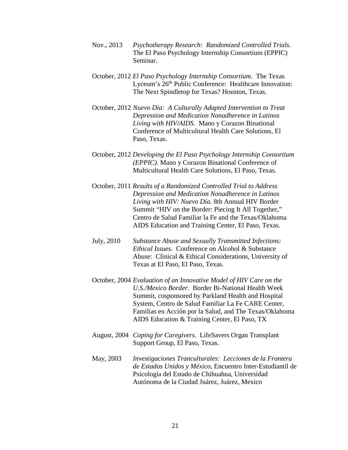- Nov., 2013 *Psychotherapy Research: Randomized Controlled Trials.*  The El Paso Psychology Internship Consortium (EPPIC) Seminar.
- October, 2012 *El Paso Psychology Internship Consortium.* The Texas Lyceum's 26<sup>th</sup> Public Conference: Healthcare Innovation: The Next Spindletop for Texas? Houston, Texas.
- October, 2012 *Nuevo Dίa: A Culturally Adapted Intervention to Treat Depression and Medication Nonadherence in Latinos Living with HIV/AIDS.* Mano y Corazon Binational Conference of Multicultural Health Care Solutions, El Paso, Texas.
- October, 2012 *Developing the El Paso Psychology Internship Consortium (EPPIC).* Mano y Corazon Binational Conference of Multicultural Health Care Solutions, El Paso, Texas.
- October, 2011 *Results of a Randomized Controlled Trial to Address Depression and Medication Nonadherence in Latinos Living with HIV: Nuevo Día.* 8th Annual HIV Border Summit "HIV on the Border: Piecing It All Together," Centro de Salud Familiar la Fe and the Texas/Oklahoma AIDS Education and Training Center, El Paso, Texas.
- July, 2010 *Substance Abuse and Sexually Transmitted Infections: Ethical Issues.* Conference on Alcohol & Substance Abuse: Clinical & Ethical Considerations, University of Texas at El Paso, El Paso, Texas.
- October, 2004 *Evaluation of an Innovative Model of HIV Care on the U.S./Mexico Border*. Border Bi-National Health Week Summit, cosponsored by Parkland Health and Hospital System, Centro de Salud Familiar La Fe CARE Center, Familias en Acción por la Salud, and The Texas/Oklahoma AIDS Education & Training Center, El Paso, TX
- August, 2004 *Coping for Caregivers.* LifeSavers Organ Transplant Support Group, El Paso, Texas.
- May, 2003 *Investigaciones Tranculturales: Lecciones de la Frontera de Estados Unidos y México,* Encuentro Inter-Estudiantil de Psicología del Estado de Chihuahua, Universidad Autónoma de la Ciudad Juárez, Juárez, Mexico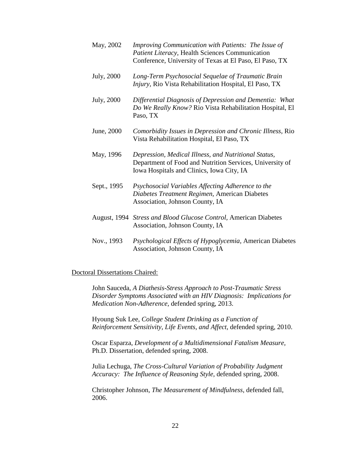| May, 2002   | Improving Communication with Patients: The Issue of<br>Patient Literacy, Health Sciences Communication<br>Conference, University of Texas at El Paso, El Paso, TX |
|-------------|-------------------------------------------------------------------------------------------------------------------------------------------------------------------|
| July, 2000  | Long-Term Psychosocial Sequelae of Traumatic Brain<br>Injury, Rio Vista Rehabilitation Hospital, El Paso, TX                                                      |
| July, 2000  | Differential Diagnosis of Depression and Dementia: What<br>Do We Really Know? Rio Vista Rehabilitation Hospital, El<br>Paso, TX                                   |
| June, 2000  | Comorbidity Issues in Depression and Chronic Illness, Rio<br>Vista Rehabilitation Hospital, El Paso, TX                                                           |
| May, 1996   | Depression, Medical Illness, and Nutritional Status,<br>Department of Food and Nutrition Services, University of<br>Iowa Hospitals and Clinics, Iowa City, IA     |
| Sept., 1995 | Psychosocial Variables Affecting Adherence to the<br>Diabetes Treatment Regimen, American Diabetes<br>Association, Johnson County, IA                             |
|             | August, 1994 Stress and Blood Glucose Control, American Diabetes<br>Association, Johnson County, IA                                                               |
| Nov., 1993  | Psychological Effects of Hypoglycemia, American Diabetes<br>Association, Johnson County, IA                                                                       |

## Doctoral Dissertations Chaired:

John Sauceda, *A Diathesis-Stress Approach to Post-Traumatic Stress Disorder Symptoms Associated with an HIV Diagnosis: Implications for Medication Non-Adherence,* defended spring, 2013.

Hyoung Suk Lee, *College Student Drinking as a Function of Reinforcement Sensitivity, Life Events, and Affect,* defended spring, 2010.

Oscar Esparza, *Development of a Multidimensional Fatalism Measure,*  Ph.D. Dissertation, defended spring, 2008.

Julia Lechuga, *The Cross-Cultural Variation of Probability Judgment Accuracy: The Influence of Reasoning Style,* defended spring, 2008.

Christopher Johnson, *The Measurement of Mindfulness*, defended fall, 2006.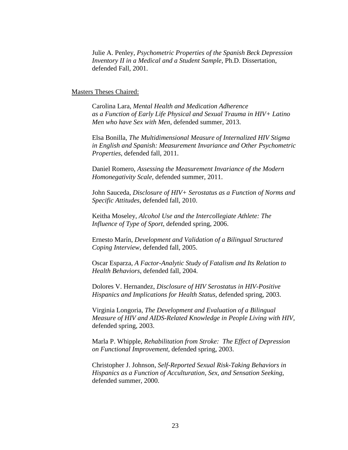Julie A. Penley, *Psychometric Properties of the Spanish Beck Depression Inventory II in a Medical and a Student Sample*, Ph.D. Dissertation, defended Fall, 2001.

#### Masters Theses Chaired:

Carolina Lara, *Mental Health and Medication Adherence as a Function of Early Life Physical and Sexual Trauma in HIV+ Latino Men who have Sex with Men,* defended summer, 2013.

Elsa Bonilla, *The Multidimensional Measure of Internalized HIV Stigma in English and Spanish: Measurement Invariance and Other Psychometric Properties,* defended fall, 2011.

Daniel Romero, *Assessing the Measurement Invariance of the Modern Homonegativity Scale,* defended summer, 2011.

John Sauceda, *Disclosure of HIV+ Serostatus as a Function of Norms and Specific Attitudes,* defended fall, 2010.

Keitha Moseley, *Alcohol Use and the Intercollegiate Athlete: The Influence of Type of Sport*, defended spring, 2006.

Ernesto Marín, *Development and Validation of a Bilingual Structured Coping Interview,* defended fall, 2005.

Oscar Esparza, *A Factor-Analytic Study of Fatalism and Its Relation to Health Behaviors*, defended fall, 2004.

Dolores V. Hernandez, *Disclosure of HIV Serostatus in HIV-Positive Hispanics and Implications for Health Status,* defended spring, 2003.

Virginia Longoria, *The Development and Evaluation of a Bilingual Measure of HIV and AIDS-Related Knowledge in People Living with HIV,*  defended spring, 2003.

Marla P. Whipple, *Rehabilitation from Stroke: The Effect of Depression on Functional Improvement,* defended spring, 2003.

Christopher J. Johnson, *Self-Reported Sexual Risk-Taking Behaviors in Hispanics as a Function of Acculturation, Sex, and Sensation Seeking*, defended summer, 2000.